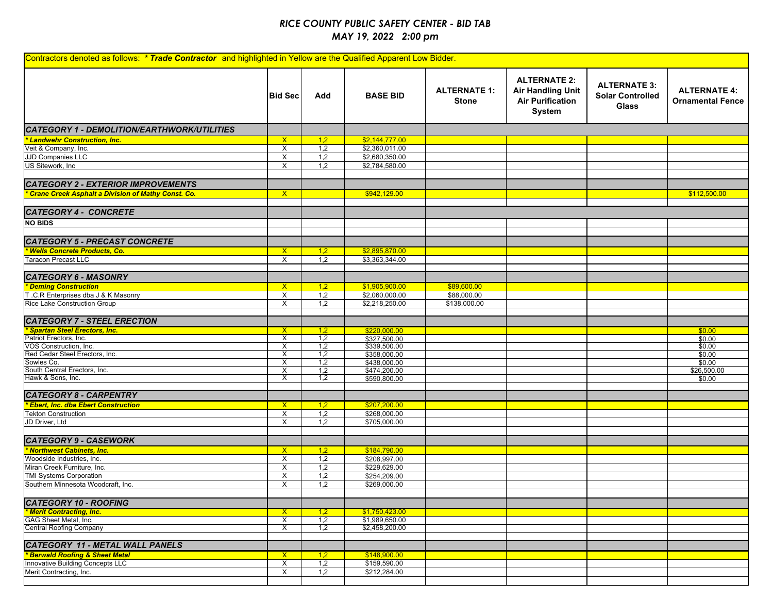| Contractors denoted as follows: * Trade Contractor and highlighted in Yellow are the Qualified Apparent Low Bidder. |                |            |                              |                                     |                                                                                             |                                                                |                                                |  |
|---------------------------------------------------------------------------------------------------------------------|----------------|------------|------------------------------|-------------------------------------|---------------------------------------------------------------------------------------------|----------------------------------------------------------------|------------------------------------------------|--|
|                                                                                                                     | <b>Bid Sec</b> | Add        | <b>BASE BID</b>              | <b>ALTERNATE 1:</b><br><b>Stone</b> | <b>ALTERNATE 2:</b><br><b>Air Handling Unit</b><br><b>Air Purification</b><br><b>System</b> | <b>ALTERNATE 3:</b><br><b>Solar Controlled</b><br><b>Glass</b> | <b>ALTERNATE 4:</b><br><b>Ornamental Fence</b> |  |
| CATEGORY 1 - DEMOLITION/EARTHWORK/UTILITIES                                                                         |                |            |                              |                                     |                                                                                             |                                                                |                                                |  |
| <b>Landwehr Construction, Inc.</b>                                                                                  | $\mathsf{X}$   | 1,2        | \$2,144,777.00               |                                     |                                                                                             |                                                                |                                                |  |
| Veit & Company, Inc.                                                                                                | X              | 1,2        | \$2,360,011.00               |                                     |                                                                                             |                                                                |                                                |  |
| JJD Companies LLC                                                                                                   | Χ              | 1,2        | \$2,680,350.00               |                                     |                                                                                             |                                                                |                                                |  |
| US Sitework, Inc.                                                                                                   | X              | 1,2        | \$2,784,580.00               |                                     |                                                                                             |                                                                |                                                |  |
|                                                                                                                     |                |            |                              |                                     |                                                                                             |                                                                |                                                |  |
| <b>CATEGORY 2 - EXTERIOR IMPROVEMENTS</b>                                                                           |                |            |                              |                                     |                                                                                             |                                                                |                                                |  |
| <b>Crane Creek Asphalt a Division of Mathy Const. Co.</b>                                                           | $\mathsf{X}$   |            | \$942,129.00                 |                                     |                                                                                             |                                                                | \$112,500.00                                   |  |
| <b>CATEGORY 4 - CONCRETE</b>                                                                                        |                |            |                              |                                     |                                                                                             |                                                                |                                                |  |
| <b>NO BIDS</b>                                                                                                      |                |            |                              |                                     |                                                                                             |                                                                |                                                |  |
| <b>CATEGORY 5 - PRECAST CONCRETE</b>                                                                                |                |            |                              |                                     |                                                                                             |                                                                |                                                |  |
| * Wells Concrete Products, Co.                                                                                      | $\mathsf{X}$   | 1,2        | \$2,895,870.00               |                                     |                                                                                             |                                                                |                                                |  |
| Taracon Precast LLC                                                                                                 | X              | 1,2        | \$3,363,344.00               |                                     |                                                                                             |                                                                |                                                |  |
|                                                                                                                     |                |            |                              |                                     |                                                                                             |                                                                |                                                |  |
| <b>CATEGORY 6 - MASONRY</b>                                                                                         |                |            |                              |                                     |                                                                                             |                                                                |                                                |  |
| <b>Deming Construction</b>                                                                                          | $\mathsf{X}$   | 1,2        | \$1,905,900.00               | \$89,600.00                         |                                                                                             |                                                                |                                                |  |
| T.C.R Enterprises dba J & K Masonry                                                                                 | X              | 1,2        | \$2,060,000.00               | \$88,000.00                         |                                                                                             |                                                                |                                                |  |
| Rice Lake Construction Group                                                                                        | X              | 1,2        | \$2,218,250.00               | \$138,000.00                        |                                                                                             |                                                                |                                                |  |
| CATEGORY 7 - STEEL ERECTION<br><mark>* Spartan Steel Erectors, Inc.</mark>                                          |                |            |                              |                                     |                                                                                             |                                                                |                                                |  |
|                                                                                                                     | $\mathsf{X}$   | 1,2        | \$220,000.00                 |                                     |                                                                                             |                                                                | \$0.00                                         |  |
| Patriot Erectors, Inc.                                                                                              | Χ              | 1,2        | \$327,500.00                 |                                     |                                                                                             |                                                                | \$0.00                                         |  |
| VOS Construction, Inc.<br>Red Cedar Steel Erectors, Inc.                                                            | X              | 1,2<br>1,2 | \$339,500.00                 |                                     |                                                                                             |                                                                | \$0.00                                         |  |
| Sowles Co.                                                                                                          | X<br>Χ         | 1,2        | \$358,000.00<br>\$438,000.00 |                                     |                                                                                             |                                                                | \$0.00<br>\$0.00                               |  |
| South Central Erectors, Inc.                                                                                        | Χ              | 1,2        | \$474,200.00                 |                                     |                                                                                             |                                                                | \$26,500.00                                    |  |
| Hawk & Sons, Inc.                                                                                                   | Χ              | 1,2        | \$590,800.00                 |                                     |                                                                                             |                                                                | \$0.00                                         |  |
|                                                                                                                     |                |            |                              |                                     |                                                                                             |                                                                |                                                |  |
| <b>CATEGORY 8 - CARPENTRY</b>                                                                                       |                |            |                              |                                     |                                                                                             |                                                                |                                                |  |
| <b>Ebert, Inc. dba Ebert Construction</b>                                                                           | $\mathsf{X}$   | 1,2        | \$207,200.00                 |                                     |                                                                                             |                                                                |                                                |  |
| <b>Tekton Construction</b>                                                                                          | X              | 1,2        | \$268,000.00                 |                                     |                                                                                             |                                                                |                                                |  |
| JD Driver, Ltd                                                                                                      | X              | 1,2        | \$705,000.00                 |                                     |                                                                                             |                                                                |                                                |  |
| <b>CATEGORY 9 - CASEWORK</b>                                                                                        |                |            |                              |                                     |                                                                                             |                                                                |                                                |  |
| * Northwest Cabinets, Inc.                                                                                          | $\mathsf{X}$   | 1,2        | \$184,790.00                 |                                     |                                                                                             |                                                                |                                                |  |
| Woodside Industries, Inc.                                                                                           | X              | 1,2        | \$208,997.00                 |                                     |                                                                                             |                                                                |                                                |  |
| Miran Creek Furniture, Inc.                                                                                         | X              | 1,2        | \$229,629.00                 |                                     |                                                                                             |                                                                |                                                |  |
| <b>TMI Systems Corporation</b>                                                                                      | X              | 1,2        | $\overline{$254,209.00}$     |                                     |                                                                                             |                                                                |                                                |  |
| Southern Minnesota Woodcraft, Inc.                                                                                  | X              | 1,2        | \$269,000.00                 |                                     |                                                                                             |                                                                |                                                |  |
| <b>CATEGORY 10 - ROOFING</b>                                                                                        |                |            |                              |                                     |                                                                                             |                                                                |                                                |  |
| * Merit Contracting, Inc.                                                                                           | $\mathsf{X}$   | 1,2        | \$1,750,423.00               |                                     |                                                                                             |                                                                |                                                |  |
| GAG Sheet Metal, Inc.                                                                                               | X              | 1,2        | \$1,989,650.00               |                                     |                                                                                             |                                                                |                                                |  |
| <b>Central Roofing Company</b>                                                                                      | X              | 1,2        | \$2,458,200.00               |                                     |                                                                                             |                                                                |                                                |  |
| <b>CATEGORY 11 - METAL WALL PANELS</b>                                                                              |                |            |                              |                                     |                                                                                             |                                                                |                                                |  |
| <b>Berwald Roofing &amp; Sheet Metal</b>                                                                            | $\mathsf{X}$   | 1,2        | \$148,900.00                 |                                     |                                                                                             |                                                                |                                                |  |
| Innovative Building Concepts LLC                                                                                    | X              | 1,2        | \$159,590.00                 |                                     |                                                                                             |                                                                |                                                |  |
| Merit Contracting, Inc.                                                                                             | X              | 1,2        | \$212,284.00                 |                                     |                                                                                             |                                                                |                                                |  |
|                                                                                                                     |                |            |                              |                                     |                                                                                             |                                                                |                                                |  |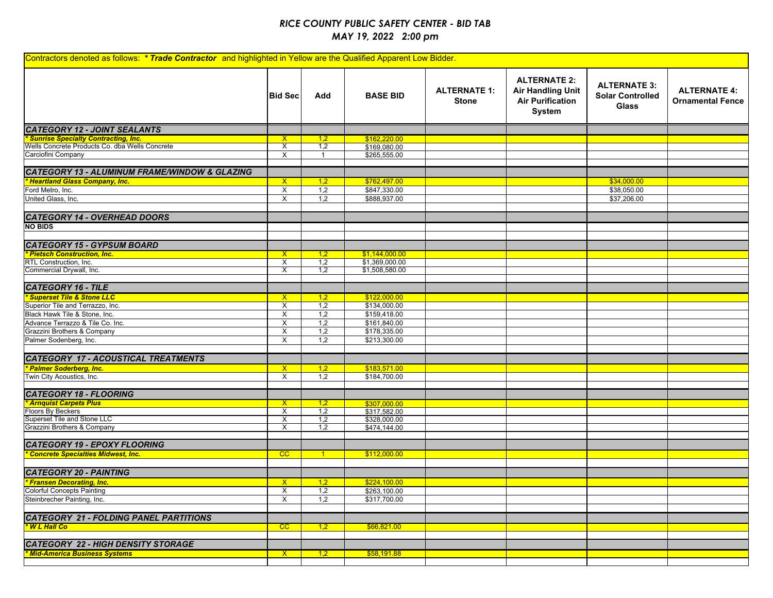| Contractors denoted as follows: * Trade Contractor and highlighted in Yellow are the Qualified Apparent Low Bidder. |                              |                |                 |                                     |                                                                                             |                                                                |                                                |  |  |
|---------------------------------------------------------------------------------------------------------------------|------------------------------|----------------|-----------------|-------------------------------------|---------------------------------------------------------------------------------------------|----------------------------------------------------------------|------------------------------------------------|--|--|
|                                                                                                                     | <b>Bid Sec</b>               | Add            | <b>BASE BID</b> | <b>ALTERNATE 1:</b><br><b>Stone</b> | <b>ALTERNATE 2:</b><br><b>Air Handling Unit</b><br><b>Air Purification</b><br><b>System</b> | <b>ALTERNATE 3:</b><br><b>Solar Controlled</b><br><b>Glass</b> | <b>ALTERNATE 4:</b><br><b>Ornamental Fence</b> |  |  |
| <b>CATEGORY 12 - JOINT SEALANTS</b>                                                                                 |                              |                |                 |                                     |                                                                                             |                                                                |                                                |  |  |
| <b>Sunrise Specialty Contracting, Inc.</b>                                                                          | $\mathsf{X}$                 | 1,2            | \$162,220.00    |                                     |                                                                                             |                                                                |                                                |  |  |
| Wells Concrete Products Co. dba Wells Concrete                                                                      | X                            | 1,2            | \$169,080.00    |                                     |                                                                                             |                                                                |                                                |  |  |
| Carciofini Company                                                                                                  | X                            | $\overline{1}$ | \$265,555.00    |                                     |                                                                                             |                                                                |                                                |  |  |
| <b>CATEGORY 13 - ALUMINUM FRAME/WINDOW &amp; GLAZING</b>                                                            |                              |                |                 |                                     |                                                                                             |                                                                |                                                |  |  |
| <b>Heartland Glass Company, Inc.</b>                                                                                | $\mathsf{X}$                 | 1,2            | \$762,497.00    |                                     |                                                                                             | \$34,000.00                                                    |                                                |  |  |
| Ford Metro, Inc.                                                                                                    | $\boldsymbol{\mathsf{X}}$    | 1,2            | \$847,330.00    |                                     |                                                                                             | \$38,050.00                                                    |                                                |  |  |
| United Glass, Inc.                                                                                                  | $\boldsymbol{\mathsf{X}}$    | 1,2            | \$888,937.00    |                                     |                                                                                             | \$37,206.00                                                    |                                                |  |  |
| <b>CATEGORY 14 - OVERHEAD DOORS</b>                                                                                 |                              |                |                 |                                     |                                                                                             |                                                                |                                                |  |  |
|                                                                                                                     |                              |                |                 |                                     |                                                                                             |                                                                |                                                |  |  |
| <b>NO BIDS</b>                                                                                                      |                              |                |                 |                                     |                                                                                             |                                                                |                                                |  |  |
| <b>CATEGORY 15 - GYPSUM BOARD</b><br>* Pietsch Construction, Inc.                                                   |                              |                |                 |                                     |                                                                                             |                                                                |                                                |  |  |
| <b>Pietsch Construction, Inc.</b>                                                                                   | $\mathbf{X}$                 | 1,2            | \$1,144,000.00  |                                     |                                                                                             |                                                                |                                                |  |  |
| RTL Construction, Inc.                                                                                              | X                            | 1,2            | \$1,369,000.00  |                                     |                                                                                             |                                                                |                                                |  |  |
| Commercial Drywall, Inc.                                                                                            | $\times$                     | 1,2            | \$1,508,580.00  |                                     |                                                                                             |                                                                |                                                |  |  |
| <b>CATEGORY 16 - TILE</b>                                                                                           |                              |                |                 |                                     |                                                                                             |                                                                |                                                |  |  |
| <b>Superset Tile &amp; Stone LLC</b>                                                                                | $\mathsf{X}$                 | 1,2            | \$122,000.00    |                                     |                                                                                             |                                                                |                                                |  |  |
| Superior Tile and Terrazzo, Inc.                                                                                    | X                            | 1,2            | \$134,000.00    |                                     |                                                                                             |                                                                |                                                |  |  |
| Black Hawk Tile & Stone, Inc.                                                                                       | X                            | 1,2            | \$159,418.00    |                                     |                                                                                             |                                                                |                                                |  |  |
| Advance Terrazzo & Tile Co. Inc.                                                                                    | X                            | 1,2            | \$161,840.00    |                                     |                                                                                             |                                                                |                                                |  |  |
| Grazzini Brothers & Company                                                                                         | X                            | 1,2            | \$178,335.00    |                                     |                                                                                             |                                                                |                                                |  |  |
| Palmer Sodenberg, Inc.                                                                                              | $\boldsymbol{\mathsf{X}}$    | 1,2            | \$213,300.00    |                                     |                                                                                             |                                                                |                                                |  |  |
| <b>CATEGORY 17 - ACOUSTICAL TREATMENTS</b>                                                                          |                              |                |                 |                                     |                                                                                             |                                                                |                                                |  |  |
| <b>Palmer Soderberg, Inc.</b>                                                                                       | $\mathsf{X}$                 | 1,2            | \$183,571.00    |                                     |                                                                                             |                                                                |                                                |  |  |
| Twin City Acoustics, Inc.                                                                                           | $\mathsf{X}$                 | 1,2            | \$184,700.00    |                                     |                                                                                             |                                                                |                                                |  |  |
|                                                                                                                     |                              |                |                 |                                     |                                                                                             |                                                                |                                                |  |  |
| <b>CATEGORY 18 - FLOORING</b>                                                                                       |                              |                |                 |                                     |                                                                                             |                                                                |                                                |  |  |
| * Arnquist Carpets Plus                                                                                             | $\mathsf{X}$                 | 1,2            | \$307,000.00    |                                     |                                                                                             |                                                                |                                                |  |  |
| Floors By Beckers                                                                                                   | $\times$                     | 1,2            | \$317,582.00    |                                     |                                                                                             |                                                                |                                                |  |  |
| Superset Tile and Stone LLC                                                                                         | X<br>$\overline{\mathsf{x}}$ | 1,2            | \$328,000.00    |                                     |                                                                                             |                                                                |                                                |  |  |
| Grazzini Brothers & Company                                                                                         |                              | 1,2            | \$474,144.00    |                                     |                                                                                             |                                                                |                                                |  |  |
| <b>CATEGORY 19 - EPOXY FLOORING</b>                                                                                 |                              |                |                 |                                     |                                                                                             |                                                                |                                                |  |  |
| <b>Concrete Specialties Midwest, Inc.</b>                                                                           | CC                           |                | \$112,000.00    |                                     |                                                                                             |                                                                |                                                |  |  |
|                                                                                                                     |                              |                |                 |                                     |                                                                                             |                                                                |                                                |  |  |
| <b>CATEGORY 20 - PAINTING</b><br><i><b>* Fransen Decorating, Inc.</b></i><br><b>Fransen Decorating, Inc.</b>        | $\mathsf{X}$                 | 1,2            | \$224,100.00    |                                     |                                                                                             |                                                                |                                                |  |  |
| Colorful Concepts Painting                                                                                          | X                            | 1,2            | \$263,100.00    |                                     |                                                                                             |                                                                |                                                |  |  |
| Steinbrecher Painting, Inc.                                                                                         | $\boldsymbol{\mathsf{X}}$    | 1,2            | \$317,700.00    |                                     |                                                                                             |                                                                |                                                |  |  |
|                                                                                                                     |                              |                |                 |                                     |                                                                                             |                                                                |                                                |  |  |
| CATEGORY 21 - FOLDING PANEL PARTITIONS<br><mark>*WL Hall Co</mark>                                                  | $\overline{CC}$              | 1,2            | \$66,821.00     |                                     |                                                                                             |                                                                |                                                |  |  |
|                                                                                                                     |                              |                |                 |                                     |                                                                                             |                                                                |                                                |  |  |
| <b>CATEGORY 22 - HIGH DENSITY STORAGE</b>                                                                           |                              |                |                 |                                     |                                                                                             |                                                                |                                                |  |  |
| <b>Mid-America Business Systems</b>                                                                                 | $\mathsf{X}$                 | 1,2            | \$58,191.88     |                                     |                                                                                             |                                                                |                                                |  |  |
|                                                                                                                     |                              |                |                 |                                     |                                                                                             |                                                                |                                                |  |  |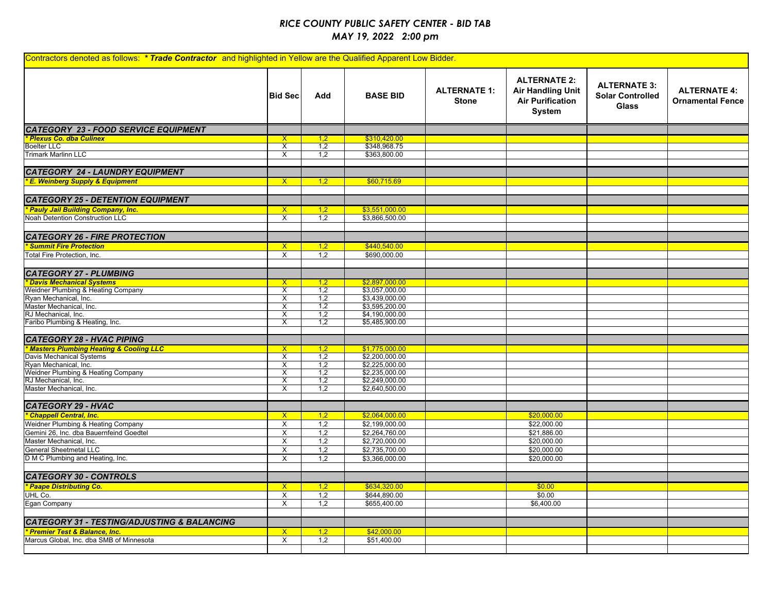| Contractors denoted as follows: * Trade Contractor and highlighted in Yellow are the Qualified Apparent Low Bidder.           |                                           |            |                                  |                                     |                                                                                      |                                                                |                                                |  |
|-------------------------------------------------------------------------------------------------------------------------------|-------------------------------------------|------------|----------------------------------|-------------------------------------|--------------------------------------------------------------------------------------|----------------------------------------------------------------|------------------------------------------------|--|
|                                                                                                                               | <b>Bid Sec</b>                            | Add        | <b>BASE BID</b>                  | <b>ALTERNATE 1:</b><br><b>Stone</b> | <b>ALTERNATE 2:</b><br><b>Air Handling Unit</b><br><b>Air Purification</b><br>System | <b>ALTERNATE 3:</b><br><b>Solar Controlled</b><br><b>Glass</b> | <b>ALTERNATE 4:</b><br><b>Ornamental Fence</b> |  |
| <b>CATEGORY 23 - FOOD SERVICE EQUIPMENT</b>                                                                                   |                                           |            |                                  |                                     |                                                                                      |                                                                |                                                |  |
| <b>Plexus Co. dba Culinex</b>                                                                                                 | $\mathsf{X}$                              | 1,2        | \$310,420.00                     |                                     |                                                                                      |                                                                |                                                |  |
| <b>Boelter LLC</b>                                                                                                            | $\overline{\mathsf{x}}$                   | 1,2        | \$348,968.75                     |                                     |                                                                                      |                                                                |                                                |  |
| <b>Trimark Marlinn LLC</b>                                                                                                    | $\overline{\mathsf{x}}$                   | 1,2        | \$363,800.00                     |                                     |                                                                                      |                                                                |                                                |  |
| <b>CATEGORY 24 - LAUNDRY EQUIPMENT</b>                                                                                        |                                           |            |                                  |                                     |                                                                                      |                                                                |                                                |  |
| <b>E. Weinberg Supply &amp; Equipment</b>                                                                                     | $\mathsf{X}$                              | 1,2        | \$60,715.69                      |                                     |                                                                                      |                                                                |                                                |  |
|                                                                                                                               |                                           |            |                                  |                                     |                                                                                      |                                                                |                                                |  |
|                                                                                                                               |                                           |            |                                  |                                     |                                                                                      |                                                                |                                                |  |
| <b>CATEGORY 25 - DETENTION EQUIPMENT</b><br>* Pauly Jail Building Company, Inc.<br><b>Pauly Jail Building Company, Inc.</b>   | $\mathsf{X}$                              | 1,2        | \$3,551,000.00                   |                                     |                                                                                      |                                                                |                                                |  |
| Noah Detention Construction LLC                                                                                               | X                                         | 1,2        | \$3,866,500.00                   |                                     |                                                                                      |                                                                |                                                |  |
|                                                                                                                               |                                           |            |                                  |                                     |                                                                                      |                                                                |                                                |  |
| <b>CATEGORY 26 - FIRE PROTECTION</b>                                                                                          |                                           |            |                                  |                                     |                                                                                      |                                                                |                                                |  |
| <b>Summit Fire Protection</b>                                                                                                 | $\mathsf{X}$                              | 1,2        | \$440,540.00                     |                                     |                                                                                      |                                                                |                                                |  |
| Total Fire Protection, Inc.                                                                                                   | $\overline{X}$                            | 1,2        | \$690,000.00                     |                                     |                                                                                      |                                                                |                                                |  |
|                                                                                                                               |                                           |            |                                  |                                     |                                                                                      |                                                                |                                                |  |
| <b>CATEGORY 27 - PLUMBING</b><br>* Davis Mechanical Systems                                                                   |                                           |            |                                  |                                     |                                                                                      |                                                                |                                                |  |
| <b>Davis Mechanical Systems</b>                                                                                               | $\overline{X}$                            | 1,2        | \$2,897,000.00                   |                                     |                                                                                      |                                                                |                                                |  |
| Weidner Plumbing & Heating Company                                                                                            | Χ                                         | 1,2        | \$3,057,000.00                   |                                     |                                                                                      |                                                                |                                                |  |
| Ryan Mechanical, Inc.                                                                                                         | X                                         | 1,2        | \$3,439,000.00                   |                                     |                                                                                      |                                                                |                                                |  |
| Master Mechanical, Inc.                                                                                                       | $\overline{\mathsf{x}}$                   | 1,2        | \$3,595,200.00                   |                                     |                                                                                      |                                                                |                                                |  |
| RJ Mechanical, Inc.<br>Faribo Plumbing & Heating, Inc.                                                                        | $\overline{\mathsf{x}}$<br>$\overline{X}$ | 1,2<br>1,2 | \$4,190,000.00<br>\$5,485,900.00 |                                     |                                                                                      |                                                                |                                                |  |
|                                                                                                                               |                                           |            |                                  |                                     |                                                                                      |                                                                |                                                |  |
|                                                                                                                               |                                           |            |                                  |                                     |                                                                                      |                                                                |                                                |  |
| <b>CATEGORY 28 - HVAC PIPING</b><br>* Masters Plumbing Heating & Cooling<br><b>Masters Plumbing Heating &amp; Cooling LLC</b> | $\mathsf{X}$                              | 1,2        | \$1,775,000.00                   |                                     |                                                                                      |                                                                |                                                |  |
| Davis Mechanical Systems                                                                                                      | X                                         | 1,2        | \$2,200,000.00                   |                                     |                                                                                      |                                                                |                                                |  |
| Ryan Mechanical, Inc.                                                                                                         | $\overline{\mathsf{x}}$                   | 1,2        | \$2,225,000.00                   |                                     |                                                                                      |                                                                |                                                |  |
| Weidner Plumbing & Heating Company                                                                                            | $\overline{\mathsf{x}}$                   | 1,2        | \$2,235,000.00                   |                                     |                                                                                      |                                                                |                                                |  |
| RJ Mechanical, Inc.                                                                                                           | X                                         | 1,2        | \$2,249,000.00                   |                                     |                                                                                      |                                                                |                                                |  |
| Master Mechanical, Inc.                                                                                                       | X                                         | 1,2        | \$2,640,500.00                   |                                     |                                                                                      |                                                                |                                                |  |
| <b>CATEGORY 29 - HVAC</b>                                                                                                     |                                           |            |                                  |                                     |                                                                                      |                                                                |                                                |  |
| <b>Chappell Central, Inc.</b>                                                                                                 | $\mathsf{X}$                              | 1,2        | \$2.064.000.00                   |                                     | \$20,000.00                                                                          |                                                                |                                                |  |
| Weidner Plumbing & Heating Company                                                                                            | $\overline{X}$                            | 1,2        | \$2,199,000.00                   |                                     | \$22,000.00                                                                          |                                                                |                                                |  |
| Gemini 26, Inc. dba Bauernfeind Goedtel                                                                                       | $\overline{X}$                            | 1,2        | \$2,264,760.00                   |                                     | \$21,886.00                                                                          |                                                                |                                                |  |
| Master Mechanical, Inc.                                                                                                       | X                                         | 1,2        | \$2,720,000.00                   |                                     | \$20,000.00                                                                          |                                                                |                                                |  |
| <b>General Sheetmetal LLC</b>                                                                                                 | X                                         | 1,2        | \$2,735,700.00                   |                                     | \$20,000.00                                                                          |                                                                |                                                |  |
| D M C Plumbing and Heating, Inc.                                                                                              | X                                         | 1,2        | \$3,366,000.00                   |                                     | \$20,000.00                                                                          |                                                                |                                                |  |
|                                                                                                                               |                                           |            |                                  |                                     |                                                                                      |                                                                |                                                |  |
| <b>CATEGORY 30 - CONTROLS</b>                                                                                                 |                                           |            |                                  |                                     |                                                                                      |                                                                |                                                |  |
| <b>Paape Distributing Co.</b>                                                                                                 | $\mathsf{X}$                              | 1,2        | \$634,320.00                     |                                     | \$0.00                                                                               |                                                                |                                                |  |
| UHL Co.                                                                                                                       | X                                         | 1,2        | \$644,890.00                     |                                     | \$0.00                                                                               |                                                                |                                                |  |
| Egan Company                                                                                                                  | $\times$                                  | 1.2        | \$655,400.00                     |                                     | \$6,400.00                                                                           |                                                                |                                                |  |
|                                                                                                                               |                                           |            |                                  |                                     |                                                                                      |                                                                |                                                |  |
| <b>CATEGORY 31 - TESTING/ADJUSTING &amp; BALANCING</b>                                                                        |                                           |            |                                  |                                     |                                                                                      |                                                                |                                                |  |
| <b>Premier Test &amp; Balance, Inc.</b>                                                                                       | $\mathsf{X}^-$                            | 1,2        | \$42,000.00                      |                                     |                                                                                      |                                                                |                                                |  |
| Marcus Global, Inc. dba SMB of Minnesota                                                                                      | $\overline{\mathsf{x}}$                   | 1,2        | \$51,400.00                      |                                     |                                                                                      |                                                                |                                                |  |
|                                                                                                                               |                                           |            |                                  |                                     |                                                                                      |                                                                |                                                |  |